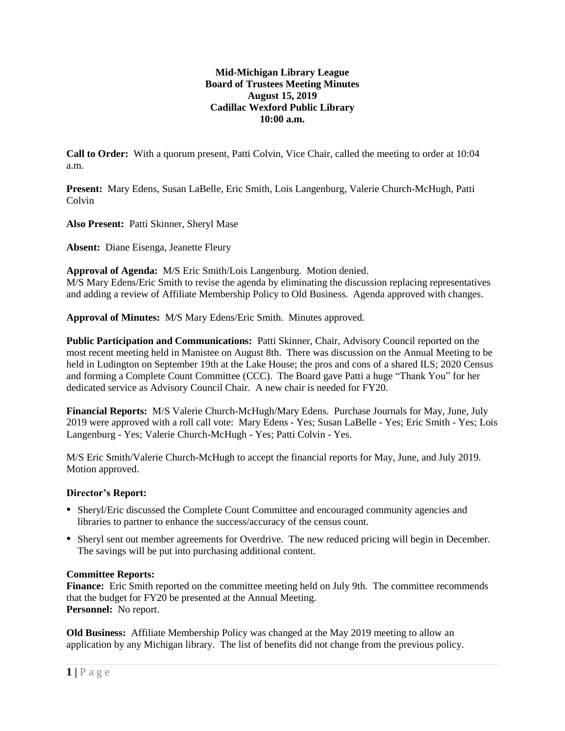# **Mid-Michigan Library League Board of Trustees Meeting Minutes August 15, 2019 Cadillac Wexford Public Library 10:00 a.m.**

**Call to Order:** With a quorum present, Patti Colvin, Vice Chair, called the meeting to order at 10:04 a.m.

**Present:** Mary Edens, Susan LaBelle, Eric Smith, Lois Langenburg, Valerie Church-McHugh, Patti Colvin

**Also Present:** Patti Skinner, Sheryl Mase

**Absent:** Diane Eisenga, Jeanette Fleury

**Approval of Agenda:** M/S Eric Smith/Lois Langenburg. Motion denied. M/S Mary Edens/Eric Smith to revise the agenda by eliminating the discussion replacing representatives and adding a review of Affiliate Membership Policy to Old Business. Agenda approved with changes.

**Approval of Minutes:** M/S Mary Edens/Eric Smith. Minutes approved.

**Public Participation and Communications:** Patti Skinner, Chair, Advisory Council reported on the most recent meeting held in Manistee on August 8th. There was discussion on the Annual Meeting to be held in Ludington on September 19th at the Lake House; the pros and cons of a shared ILS; 2020 Census and forming a Complete Count Committee (CCC). The Board gave Patti a huge "Thank You" for her dedicated service as Advisory Council Chair. A new chair is needed for FY20.

**Financial Reports:** M/S Valerie Church-McHugh/Mary Edens. Purchase Journals for May, June, July 2019 were approved with a roll call vote: Mary Edens - Yes; Susan LaBelle - Yes; Eric Smith - Yes; Lois Langenburg - Yes; Valerie Church-McHugh - Yes; Patti Colvin - Yes.

M/S Eric Smith/Valerie Church-McHugh to accept the financial reports for May, June, and July 2019. Motion approved.

## **Director's Report:**

- Sheryl/Eric discussed the Complete Count Committee and encouraged community agencies and libraries to partner to enhance the success/accuracy of the census count.
- Sheryl sent out member agreements for Overdrive. The new reduced pricing will begin in December. The savings will be put into purchasing additional content.

## **Committee Reports:**

**Finance:** Eric Smith reported on the committee meeting held on July 9th. The committee recommends that the budget for FY20 be presented at the Annual Meeting. **Personnel:** No report.

**Old Business:** Affiliate Membership Policy was changed at the May 2019 meeting to allow an application by any Michigan library. The list of benefits did not change from the previous policy.